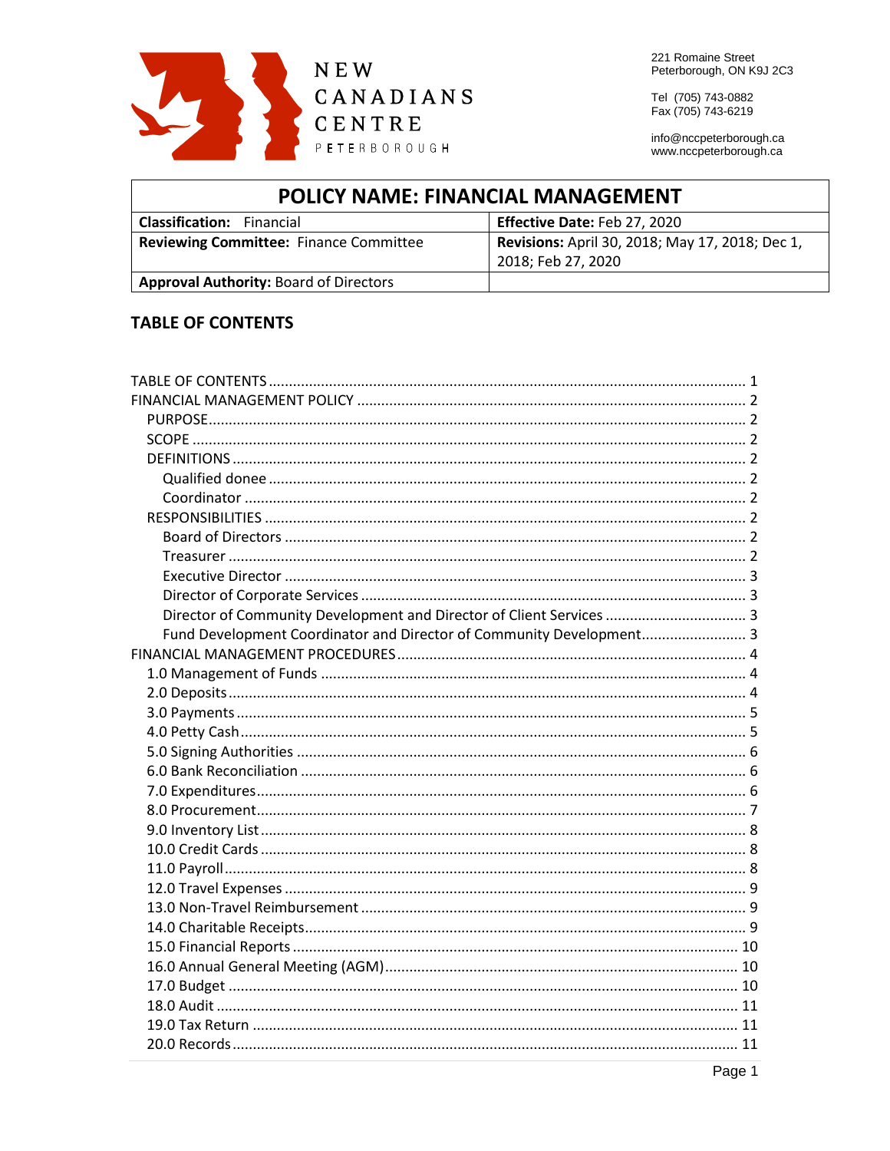

221 Romaine Street Peterborough, ON K9J 2C3

Tel (705) 743-0882 Fax (705) 743-6219

info@nccpeterborough.ca www.nccpeterborough.ca

| <b>POLICY NAME: FINANCIAL MANAGEMENT</b>      |                                                 |  |
|-----------------------------------------------|-------------------------------------------------|--|
| <b>Classification:</b> Financial              | Effective Date: Feb 27, 2020                    |  |
| <b>Reviewing Committee: Finance Committee</b> | Revisions: April 30, 2018; May 17, 2018; Dec 1, |  |
|                                               | 2018; Feb 27, 2020                              |  |
| <b>Approval Authority: Board of Directors</b> |                                                 |  |

# <span id="page-0-0"></span>**TABLE OF CONTENTS**

| Director of Community Development and Director of Client Services  3 |  |
|----------------------------------------------------------------------|--|
| Fund Development Coordinator and Director of Community Development 3 |  |
|                                                                      |  |
|                                                                      |  |
|                                                                      |  |
|                                                                      |  |
|                                                                      |  |
|                                                                      |  |
|                                                                      |  |
|                                                                      |  |
|                                                                      |  |
|                                                                      |  |
|                                                                      |  |
|                                                                      |  |
|                                                                      |  |
|                                                                      |  |
|                                                                      |  |
|                                                                      |  |
|                                                                      |  |
|                                                                      |  |
|                                                                      |  |
|                                                                      |  |
|                                                                      |  |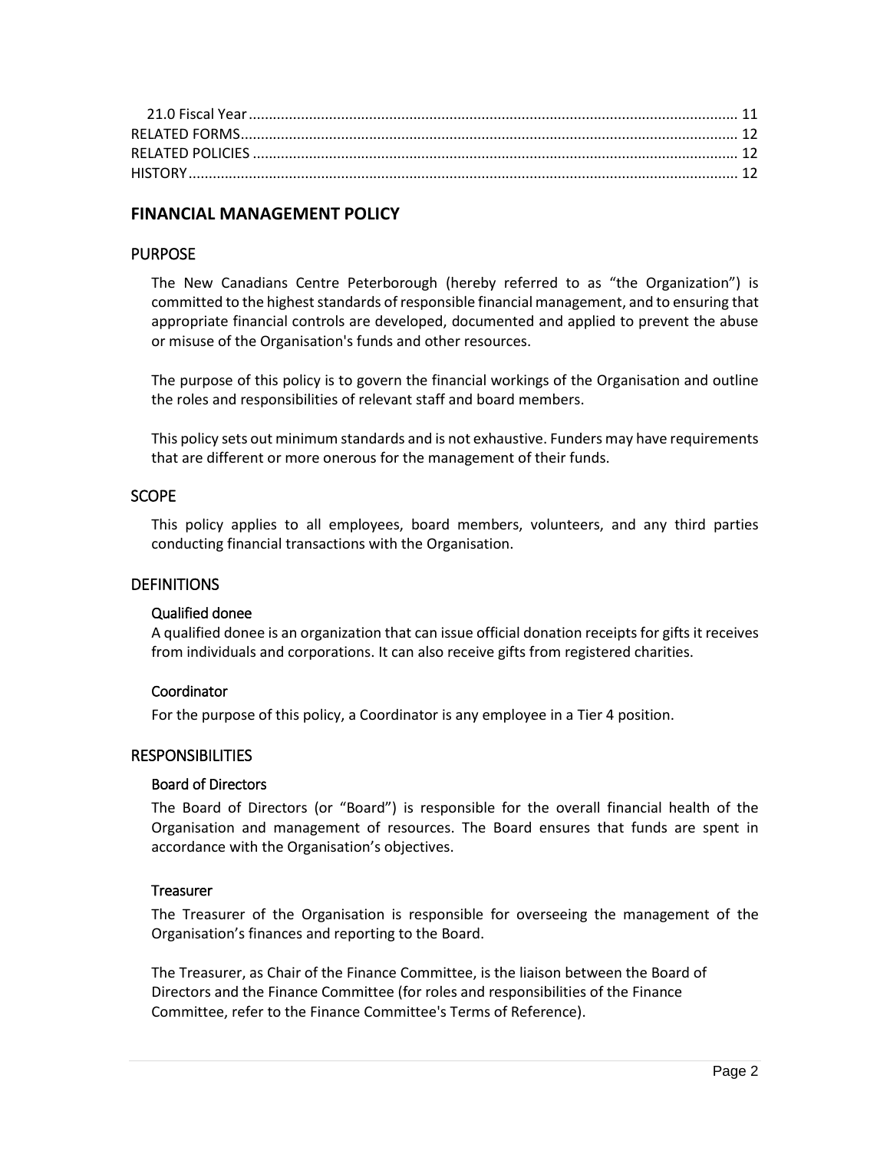# <span id="page-1-0"></span>**FINANCIAL MANAGEMENT POLICY**

### <span id="page-1-1"></span>PURPOSE

The New Canadians Centre Peterborough (hereby referred to as "the Organization") is committed to the highest standards of responsible financial management, and to ensuring that appropriate financial controls are developed, documented and applied to prevent the abuse or misuse of the Organisation's funds and other resources.

The purpose of this policy is to govern the financial workings of the Organisation and outline the roles and responsibilities of relevant staff and board members.

This policy sets out minimum standards and is not exhaustive. Funders may have requirements that are different or more onerous for the management of their funds.

### <span id="page-1-2"></span>**SCOPE**

This policy applies to all employees, board members, volunteers, and any third parties conducting financial transactions with the Organisation.

### <span id="page-1-3"></span>**DEFINITIONS**

#### <span id="page-1-4"></span>Qualified donee

A qualified donee is an organization that can issue official donation receipts for gifts it receives from individuals and corporations. It can also receive gifts from registered charities.

### <span id="page-1-5"></span>Coordinator

For the purpose of this policy, a Coordinator is any employee in a Tier 4 position.

### <span id="page-1-6"></span>**RESPONSIBILITIES**

### <span id="page-1-7"></span>Board of Directors

The Board of Directors (or "Board") is responsible for the overall financial health of the Organisation and management of resources. The Board ensures that funds are spent in accordance with the Organisation's objectives.

#### <span id="page-1-8"></span>**Treasurer**

The Treasurer of the Organisation is responsible for overseeing the management of the Organisation's finances and reporting to the Board.

The Treasurer, as Chair of the Finance Committee, is the liaison between the Board of Directors and the Finance Committee (for roles and responsibilities of the Finance Committee, refer to the Finance Committee's Terms of Reference).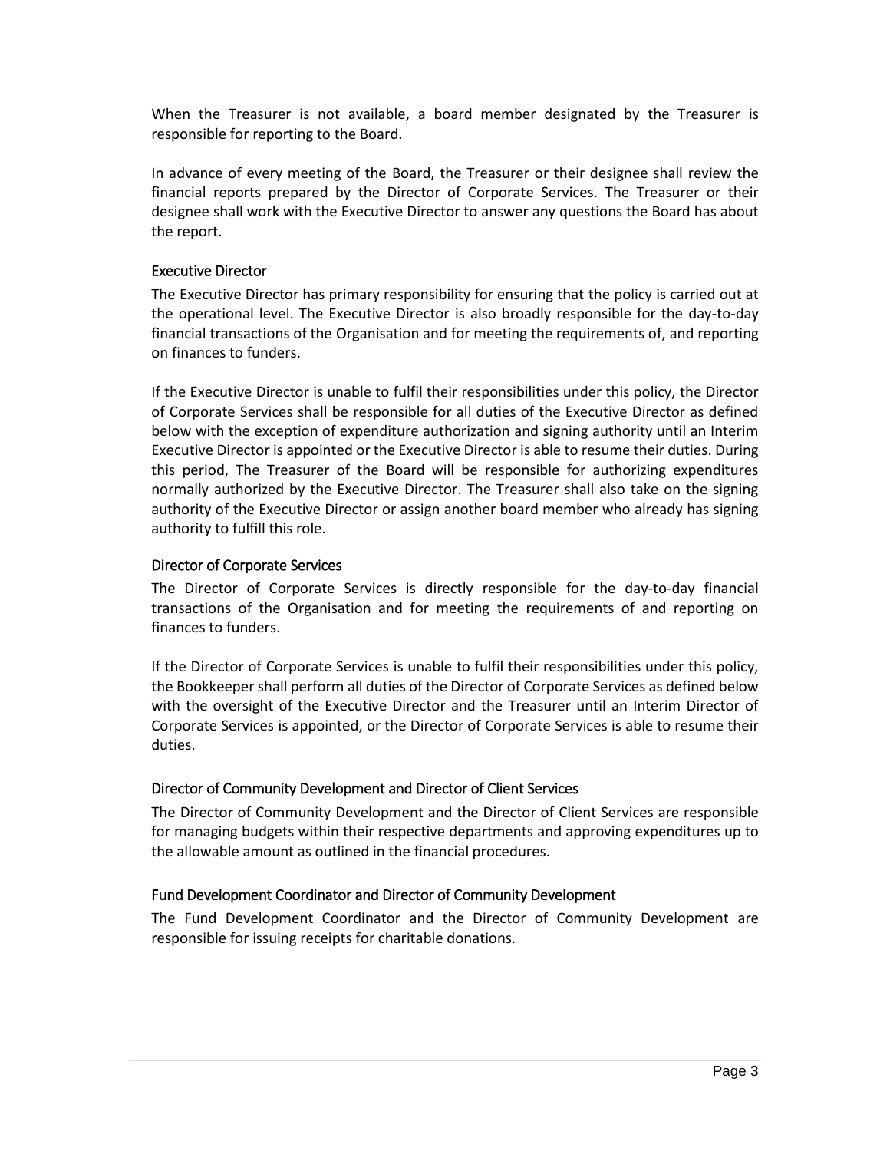When the Treasurer is not available, a board member designated by the Treasurer is responsible for reporting to the Board.

In advance of every meeting of the Board, the Treasurer or their designee shall review the financial reports prepared by the Director of Corporate Services. The Treasurer or their designee shall work with the Executive Director to answer any questions the Board has about the report.

#### <span id="page-2-0"></span>Executive Director

The Executive Director has primary responsibility for ensuring that the policy is carried out at the operational level. The Executive Director is also broadly responsible for the day-to-day financial transactions of the Organisation and for meeting the requirements of, and reporting on finances to funders.

If the Executive Director is unable to fulfil their responsibilities under this policy, the Director of Corporate Services shall be responsible for all duties of the Executive Director as defined below with the exception of expenditure authorization and signing authority until an Interim Executive Director is appointed or the Executive Director is able to resume their duties. During this period, The Treasurer of the Board will be responsible for authorizing expenditures normally authorized by the Executive Director. The Treasurer shall also take on the signing authority of the Executive Director or assign another board member who already has signing authority to fulfill this role.

#### <span id="page-2-1"></span>Director of Corporate Services

The Director of Corporate Services is directly responsible for the day-to-day financial transactions of the Organisation and for meeting the requirements of and reporting on finances to funders.

If the Director of Corporate Services is unable to fulfil their responsibilities under this policy, the Bookkeeper shall perform all duties of the Director of Corporate Services as defined below with the oversight of the Executive Director and the Treasurer until an Interim Director of Corporate Services is appointed, or the Director of Corporate Services is able to resume their duties.

### <span id="page-2-2"></span>Director of Community Development and Director of Client Services

The Director of Community Development and the Director of Client Services are responsible for managing budgets within their respective departments and approving expenditures up to the allowable amount as outlined in the financial procedures.

### <span id="page-2-3"></span>Fund Development Coordinator and Director of Community Development

The Fund Development Coordinator and the Director of Community Development are responsible for issuing receipts for charitable donations.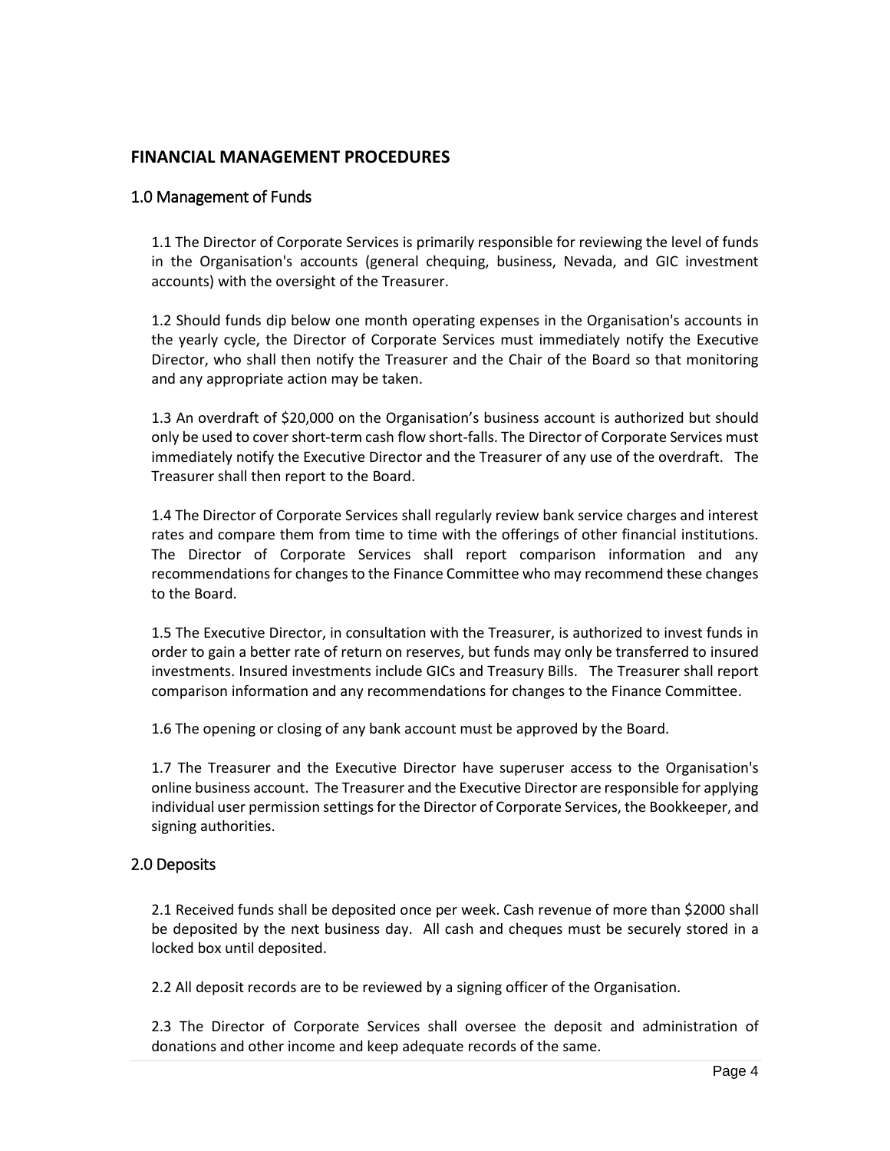### <span id="page-3-0"></span>**FINANCIAL MANAGEMENT PROCEDURES**

#### <span id="page-3-1"></span>1.0 Management of Funds

1.1 The Director of Corporate Services is primarily responsible for reviewing the level of funds in the Organisation's accounts (general chequing, business, Nevada, and GIC investment accounts) with the oversight of the Treasurer.

1.2 Should funds dip below one month operating expenses in the Organisation's accounts in the yearly cycle, the Director of Corporate Services must immediately notify the Executive Director, who shall then notify the Treasurer and the Chair of the Board so that monitoring and any appropriate action may be taken.

1.3 An overdraft of \$20,000 on the Organisation's business account is authorized but should only be used to cover short-term cash flow short-falls. The Director of Corporate Services must immediately notify the Executive Director and the Treasurer of any use of the overdraft. The Treasurer shall then report to the Board.

1.4 The Director of Corporate Services shall regularly review bank service charges and interest rates and compare them from time to time with the offerings of other financial institutions. The Director of Corporate Services shall report comparison information and any recommendations for changes to the Finance Committee who may recommend these changes to the Board.

1.5 The Executive Director, in consultation with the Treasurer, is authorized to invest funds in order to gain a better rate of return on reserves, but funds may only be transferred to insured investments. Insured investments include GICs and Treasury Bills. The Treasurer shall report comparison information and any recommendations for changes to the Finance Committee.

1.6 The opening or closing of any bank account must be approved by the Board.

1.7 The Treasurer and the Executive Director have superuser access to the Organisation's online business account. The Treasurer and the Executive Director are responsible for applying individual user permission settings for the Director of Corporate Services, the Bookkeeper, and signing authorities.

### <span id="page-3-2"></span>2.0 Deposits

2.1 Received funds shall be deposited once per week. Cash revenue of more than \$2000 shall be deposited by the next business day. All cash and cheques must be securely stored in a locked box until deposited.

2.2 All deposit records are to be reviewed by a signing officer of the Organisation.

2.3 The Director of Corporate Services shall oversee the deposit and administration of donations and other income and keep adequate records of the same.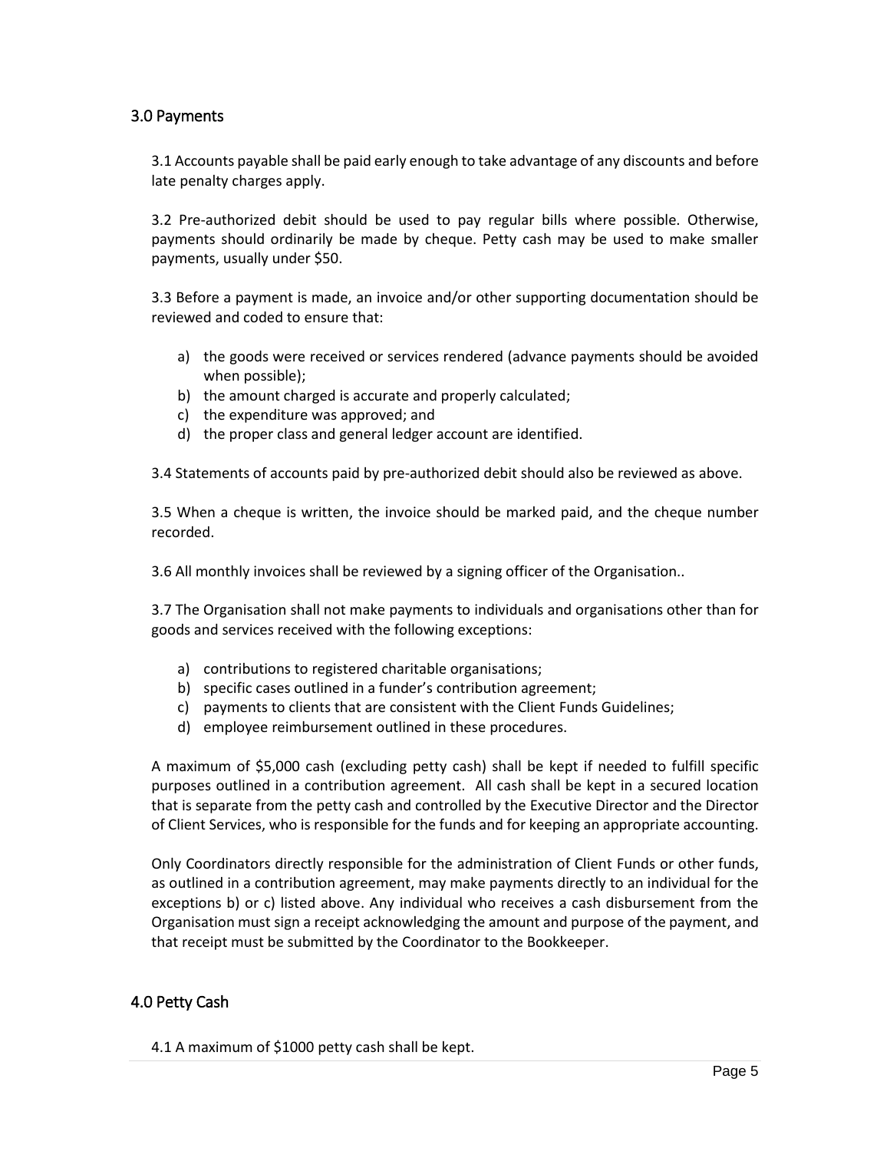### <span id="page-4-0"></span>3.0 Payments

3.1 Accounts payable shall be paid early enough to take advantage of any discounts and before late penalty charges apply.

3.2 Pre-authorized debit should be used to pay regular bills where possible. Otherwise, payments should ordinarily be made by cheque. Petty cash may be used to make smaller payments, usually under \$50.

3.3 Before a payment is made, an invoice and/or other supporting documentation should be reviewed and coded to ensure that:

- a) the goods were received or services rendered (advance payments should be avoided when possible);
- b) the amount charged is accurate and properly calculated;
- c) the expenditure was approved; and
- d) the proper class and general ledger account are identified.

3.4 Statements of accounts paid by pre-authorized debit should also be reviewed as above.

3.5 When a cheque is written, the invoice should be marked paid, and the cheque number recorded.

3.6 All monthly invoices shall be reviewed by a signing officer of the Organisation..

3.7 The Organisation shall not make payments to individuals and organisations other than for goods and services received with the following exceptions:

- a) contributions to registered charitable organisations;
- b) specific cases outlined in a funder's contribution agreement;
- c) payments to clients that are consistent with the Client Funds Guidelines;
- d) employee reimbursement outlined in these procedures.

A maximum of \$5,000 cash (excluding petty cash) shall be kept if needed to fulfill specific purposes outlined in a contribution agreement. All cash shall be kept in a secured location that is separate from the petty cash and controlled by the Executive Director and the Director of Client Services, who is responsible for the funds and for keeping an appropriate accounting.

Only Coordinators directly responsible for the administration of Client Funds or other funds, as outlined in a contribution agreement, may make payments directly to an individual for the exceptions b) or c) listed above. Any individual who receives a cash disbursement from the Organisation must sign a receipt acknowledging the amount and purpose of the payment, and that receipt must be submitted by the Coordinator to the Bookkeeper.

# <span id="page-4-1"></span>4.0 Petty Cash

4.1 A maximum of \$1000 petty cash shall be kept.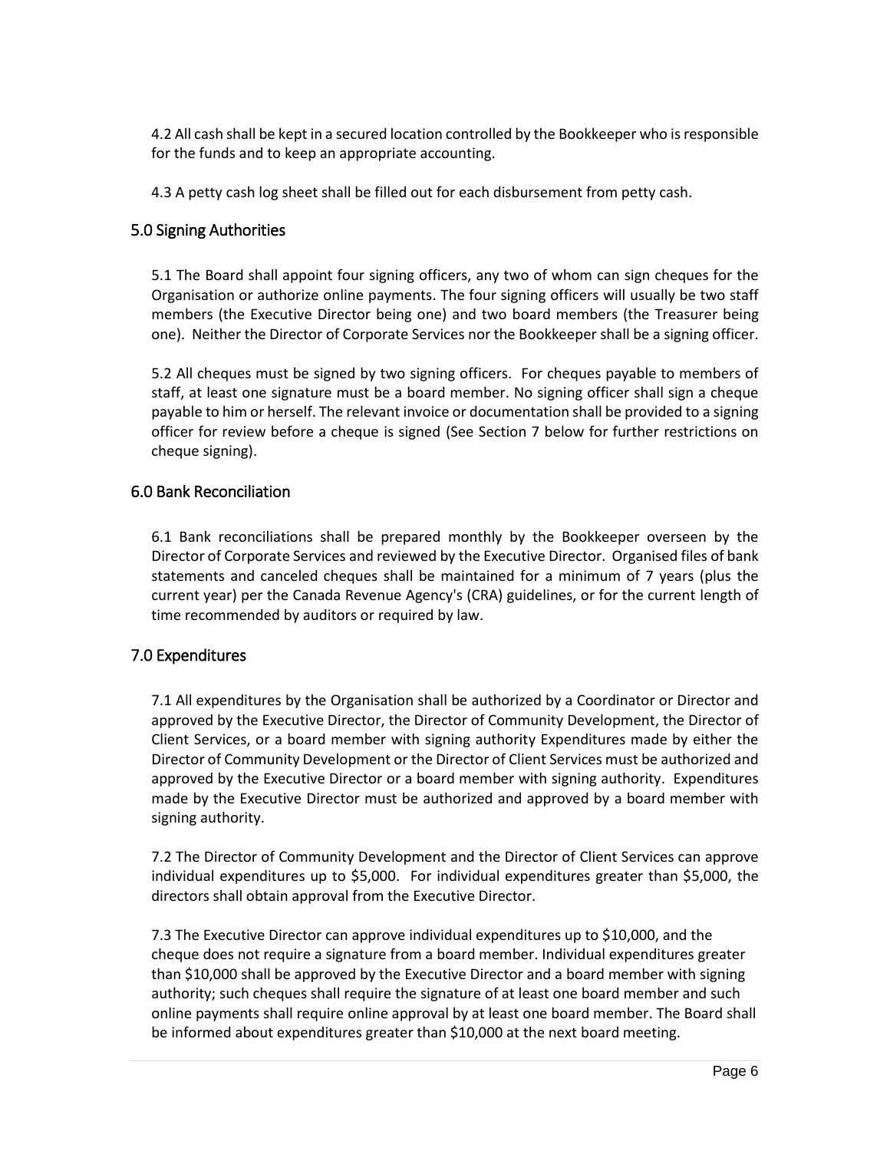4.2 All cash shall be kept in a secured location controlled by the Bookkeeper who is responsible for the funds and to keep an appropriate accounting.

4.3 A petty cash log sheet shall be filled out for each disbursement from petty cash.

### <span id="page-5-0"></span>5.0 Signing Authorities

5.1 The Board shall appoint four signing officers, any two of whom can sign cheques for the Organisation or authorize online payments. The four signing officers will usually be two staff members (the Executive Director being one) and two board members (the Treasurer being one). Neither the Director of Corporate Services nor the Bookkeeper shall be a signing officer.

5.2 All cheques must be signed by two signing officers. For cheques payable to members of staff, at least one signature must be a board member. No signing officer shall sign a cheque payable to him or herself. The relevant invoice or documentation shall be provided to a signing officer for review before a cheque is signed (See Section 7 below for further restrictions on cheque signing).

### <span id="page-5-1"></span>6.0 Bank Reconciliation

6.1 Bank reconciliations shall be prepared monthly by the Bookkeeper overseen by the Director of Corporate Services and reviewed by the Executive Director. Organised files of bank statements and canceled cheques shall be maintained for a minimum of 7 years (plus the current year) per the Canada Revenue Agency's (CRA) guidelines, or for the current length of time recommended by auditors or required by law.

# <span id="page-5-2"></span>7.0 Expenditures

7.1 All expenditures by the Organisation shall be authorized by a Coordinator or Director and approved by the Executive Director, the Director of Community Development, the Director of Client Services, or a board member with signing authority Expenditures made by either the Director of Community Development or the Director of Client Services must be authorized and approved by the Executive Director or a board member with signing authority. Expenditures made by the Executive Director must be authorized and approved by a board member with signing authority.

7.2 The Director of Community Development and the Director of Client Services can approve individual expenditures up to \$5,000. For individual expenditures greater than \$5,000, the directors shall obtain approval from the Executive Director.

7.3 The Executive Director can approve individual expenditures up to \$10,000, and the cheque does not require a signature from a board member. Individual expenditures greater than \$10,000 shall be approved by the Executive Director and a board member with signing authority; such cheques shall require the signature of at least one board member and such online payments shall require online approval by at least one board member. The Board shall be informed about expenditures greater than \$10,000 at the next board meeting.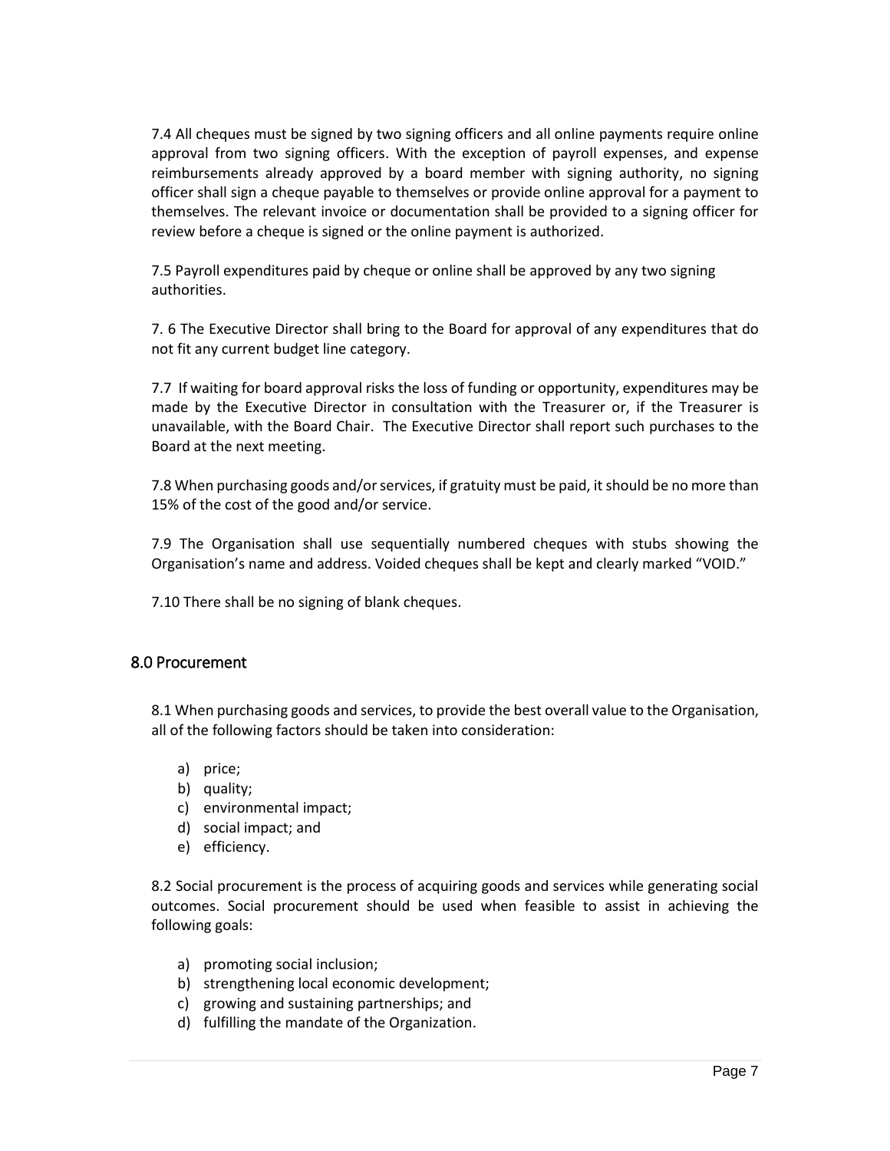7.4 All cheques must be signed by two signing officers and all online payments require online approval from two signing officers. With the exception of payroll expenses, and expense reimbursements already approved by a board member with signing authority, no signing officer shall sign a cheque payable to themselves or provide online approval for a payment to themselves. The relevant invoice or documentation shall be provided to a signing officer for review before a cheque is signed or the online payment is authorized.

7.5 Payroll expenditures paid by cheque or online shall be approved by any two signing authorities.

7. 6 The Executive Director shall bring to the Board for approval of any expenditures that do not fit any current budget line category.

7.7 If waiting for board approval risks the loss of funding or opportunity, expenditures may be made by the Executive Director in consultation with the Treasurer or, if the Treasurer is unavailable, with the Board Chair. The Executive Director shall report such purchases to the Board at the next meeting.

7.8 When purchasing goods and/or services, if gratuity must be paid, it should be no more than 15% of the cost of the good and/or service.

7.9 The Organisation shall use sequentially numbered cheques with stubs showing the Organisation's name and address. Voided cheques shall be kept and clearly marked "VOID."

7.10 There shall be no signing of blank cheques.

#### <span id="page-6-0"></span>8.0 Procurement

8.1 When purchasing goods and services, to provide the best overall value to the Organisation, all of the following factors should be taken into consideration:

- a) price;
- b) quality;
- c) environmental impact;
- d) social impact; and
- e) efficiency.

8.2 Social procurement is the process of acquiring goods and services while generating social outcomes. Social procurement should be used when feasible to assist in achieving the following goals:

- a) promoting social inclusion;
- b) strengthening local economic development;
- c) growing and sustaining partnerships; and
- d) fulfilling the mandate of the Organization.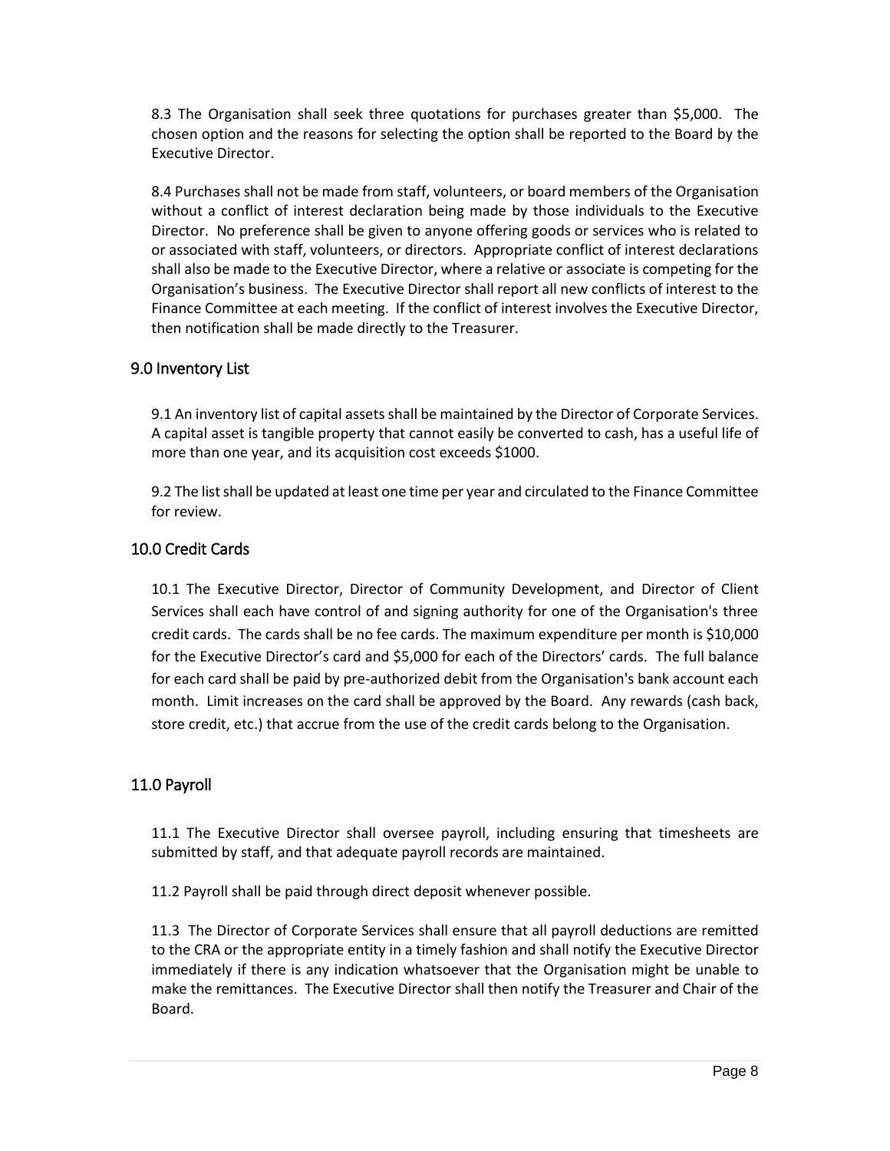8.3 The Organisation shall seek three quotations for purchases greater than \$5,000. The chosen option and the reasons for selecting the option shall be reported to the Board by the Executive Director.

8.4 Purchases shall not be made from staff, volunteers, or board members of the Organisation without a conflict of interest declaration being made by those individuals to the Executive Director. No preference shall be given to anyone offering goods or services who is related to or associated with staff, volunteers, or directors. Appropriate conflict of interest declarations shall also be made to the Executive Director, where a relative or associate is competing for the Organisation's business. The Executive Director shall report all new conflicts of interest to the Finance Committee at each meeting. If the conflict of interest involves the Executive Director, then notification shall be made directly to the Treasurer.

# <span id="page-7-0"></span>9.0 Inventory List

9.1 An inventory list of capital assets shall be maintained by the Director of Corporate Services. A capital asset is tangible property that cannot easily be converted to cash, has a useful life of more than one year, and its acquisition cost exceeds \$1000.

9.2 The list shall be updated at least one time per year and circulated to the Finance Committee for review.

### <span id="page-7-1"></span>10.0 Credit Cards

10.1 The Executive Director, Director of Community Development, and Director of Client Services shall each have control of and signing authority for one of the Organisation's three credit cards. The cards shall be no fee cards. The maximum expenditure per month is \$10,000 for the Executive Director's card and \$5,000 for each of the Directors' cards. The full balance for each card shall be paid by pre-authorized debit from the Organisation's bank account each month. Limit increases on the card shall be approved by the Board. Any rewards (cash back, store credit, etc.) that accrue from the use of the credit cards belong to the Organisation.

# <span id="page-7-2"></span>11.0 Payroll

11.1 The Executive Director shall oversee payroll, including ensuring that timesheets are submitted by staff, and that adequate payroll records are maintained.

11.2 Payroll shall be paid through direct deposit whenever possible.

11.3 The Director of Corporate Services shall ensure that all payroll deductions are remitted to the CRA or the appropriate entity in a timely fashion and shall notify the Executive Director immediately if there is any indication whatsoever that the Organisation might be unable to make the remittances. The Executive Director shall then notify the Treasurer and Chair of the Board.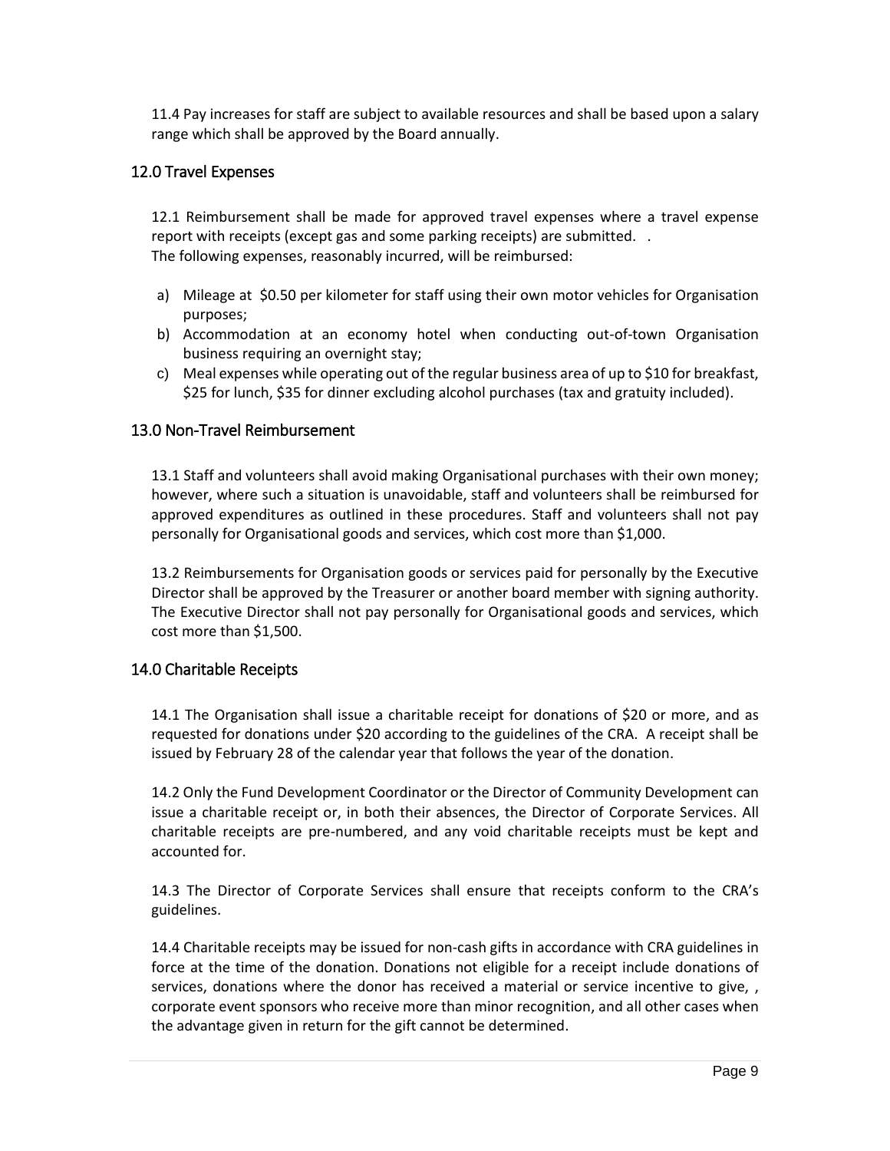11.4 Pay increases for staff are subject to available resources and shall be based upon a salary range which shall be approved by the Board annually.

### <span id="page-8-0"></span>12.0 Travel Expenses

12.1 Reimbursement shall be made for approved travel expenses where a travel expense report with receipts (except gas and some parking receipts) are submitted. . The following expenses, reasonably incurred, will be reimbursed:

- a) Mileage at \$0.50 per kilometer for staff using their own motor vehicles for Organisation purposes;
- b) Accommodation at an economy hotel when conducting out-of-town Organisation business requiring an overnight stay;
- c) Meal expenses while operating out of the regular business area of up to \$10 for breakfast, \$25 for lunch, \$35 for dinner excluding alcohol purchases (tax and gratuity included).

### <span id="page-8-1"></span>13.0 Non-Travel Reimbursement

13.1 Staff and volunteers shall avoid making Organisational purchases with their own money; however, where such a situation is unavoidable, staff and volunteers shall be reimbursed for approved expenditures as outlined in these procedures. Staff and volunteers shall not pay personally for Organisational goods and services, which cost more than \$1,000.

13.2 Reimbursements for Organisation goods or services paid for personally by the Executive Director shall be approved by the Treasurer or another board member with signing authority. The Executive Director shall not pay personally for Organisational goods and services, which cost more than \$1,500.

### <span id="page-8-2"></span>14.0 Charitable Receipts

14.1 The Organisation shall issue a charitable receipt for donations of \$20 or more, and as requested for donations under \$20 according to the guidelines of the CRA. A receipt shall be issued by February 28 of the calendar year that follows the year of the donation.

14.2 Only the Fund Development Coordinator or the Director of Community Development can issue a charitable receipt or, in both their absences, the Director of Corporate Services. All charitable receipts are pre-numbered, and any void charitable receipts must be kept and accounted for.

14.3 The Director of Corporate Services shall ensure that receipts conform to the CRA's guidelines.

14.4 Charitable receipts may be issued for non-cash gifts in accordance with CRA guidelines in force at the time of the donation. Donations not eligible for a receipt include donations of services, donations where the donor has received a material or service incentive to give,, corporate event sponsors who receive more than minor recognition, and all other cases when the advantage given in return for the gift cannot be determined.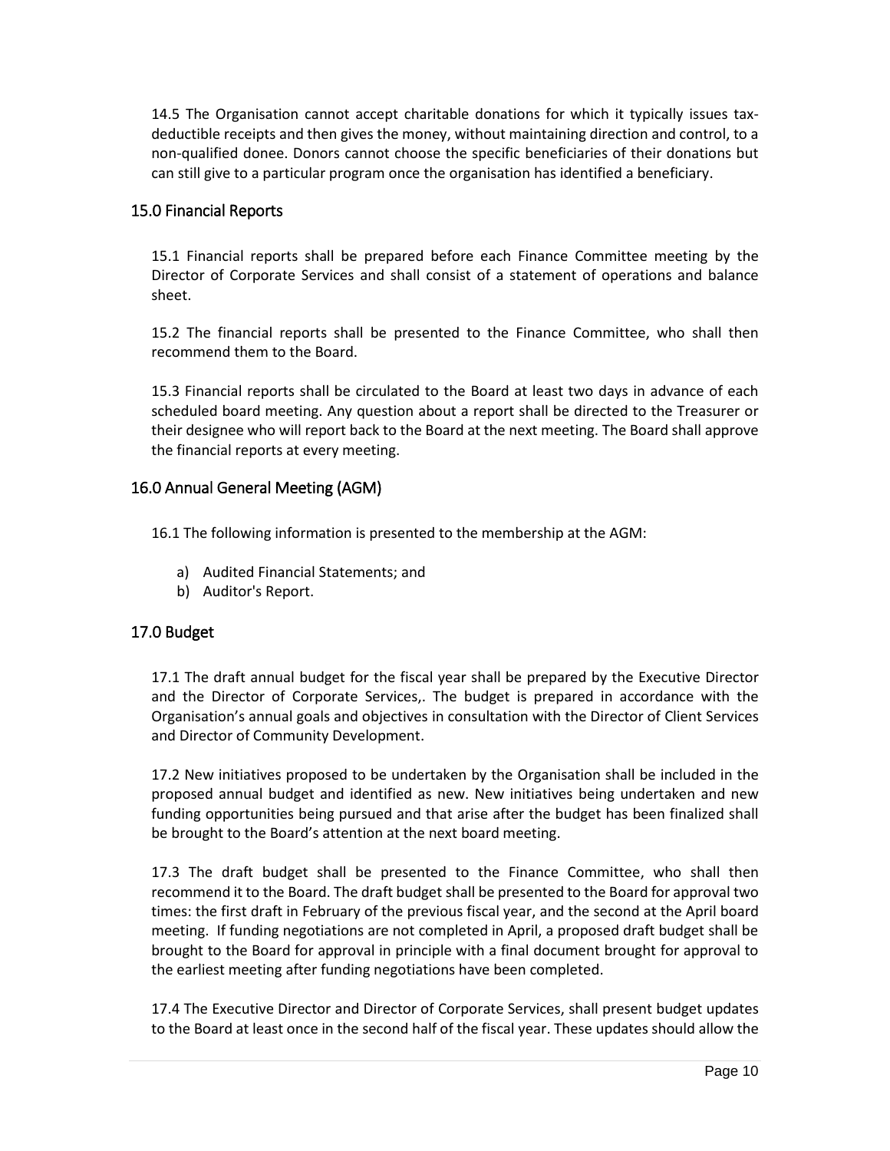14.5 The Organisation cannot accept charitable donations for which it typically issues taxdeductible receipts and then gives the money, without maintaining direction and control, to a non-qualified donee. Donors cannot choose the specific beneficiaries of their donations but can still give to a particular program once the organisation has identified a beneficiary.

### <span id="page-9-0"></span>15.0 Financial Reports

15.1 Financial reports shall be prepared before each Finance Committee meeting by the Director of Corporate Services and shall consist of a statement of operations and balance sheet.

15.2 The financial reports shall be presented to the Finance Committee, who shall then recommend them to the Board.

15.3 Financial reports shall be circulated to the Board at least two days in advance of each scheduled board meeting. Any question about a report shall be directed to the Treasurer or their designee who will report back to the Board at the next meeting. The Board shall approve the financial reports at every meeting.

### <span id="page-9-1"></span>16.0 Annual General Meeting (AGM)

16.1 The following information is presented to the membership at the AGM:

- a) Audited Financial Statements; and
- b) Auditor's Report.

### <span id="page-9-2"></span>17.0 Budget

17.1 The draft annual budget for the fiscal year shall be prepared by the Executive Director and the Director of Corporate Services,. The budget is prepared in accordance with the Organisation's annual goals and objectives in consultation with the Director of Client Services and Director of Community Development.

17.2 New initiatives proposed to be undertaken by the Organisation shall be included in the proposed annual budget and identified as new. New initiatives being undertaken and new funding opportunities being pursued and that arise after the budget has been finalized shall be brought to the Board's attention at the next board meeting.

17.3 The draft budget shall be presented to the Finance Committee, who shall then recommend it to the Board. The draft budget shall be presented to the Board for approval two times: the first draft in February of the previous fiscal year, and the second at the April board meeting. If funding negotiations are not completed in April, a proposed draft budget shall be brought to the Board for approval in principle with a final document brought for approval to the earliest meeting after funding negotiations have been completed.

17.4 The Executive Director and Director of Corporate Services, shall present budget updates to the Board at least once in the second half of the fiscal year. These updates should allow the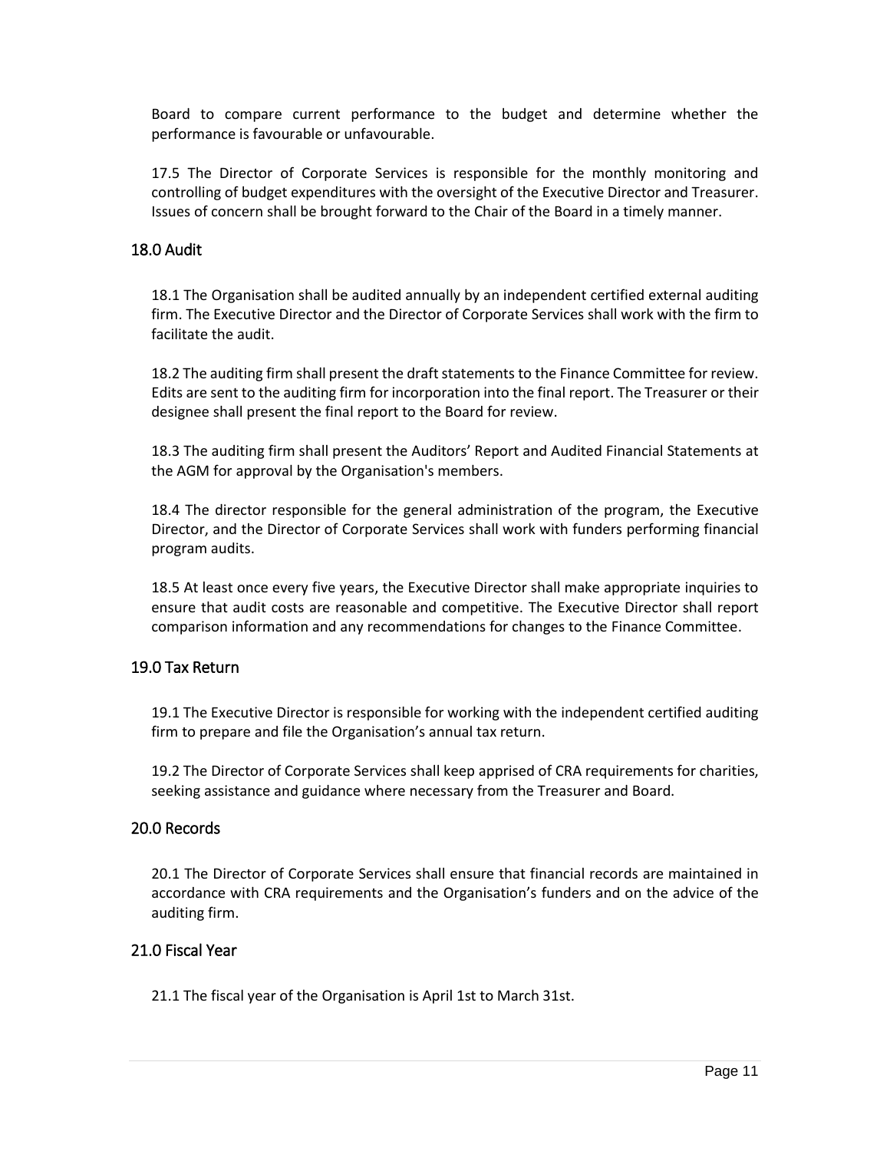Board to compare current performance to the budget and determine whether the performance is favourable or unfavourable.

17.5 The Director of Corporate Services is responsible for the monthly monitoring and controlling of budget expenditures with the oversight of the Executive Director and Treasurer. Issues of concern shall be brought forward to the Chair of the Board in a timely manner.

#### <span id="page-10-0"></span>18.0 Audit

18.1 The Organisation shall be audited annually by an independent certified external auditing firm. The Executive Director and the Director of Corporate Services shall work with the firm to facilitate the audit.

18.2 The auditing firm shall present the draft statements to the Finance Committee for review. Edits are sent to the auditing firm for incorporation into the final report. The Treasurer or their designee shall present the final report to the Board for review.

18.3 The auditing firm shall present the Auditors' Report and Audited Financial Statements at the AGM for approval by the Organisation's members.

18.4 The director responsible for the general administration of the program, the Executive Director, and the Director of Corporate Services shall work with funders performing financial program audits.

18.5 At least once every five years, the Executive Director shall make appropriate inquiries to ensure that audit costs are reasonable and competitive. The Executive Director shall report comparison information and any recommendations for changes to the Finance Committee.

#### <span id="page-10-1"></span>19.0 Tax Return

19.1 The Executive Director is responsible for working with the independent certified auditing firm to prepare and file the Organisation's annual tax return.

19.2 The Director of Corporate Services shall keep apprised of CRA requirements for charities, seeking assistance and guidance where necessary from the Treasurer and Board.

#### <span id="page-10-2"></span>20.0 Records

20.1 The Director of Corporate Services shall ensure that financial records are maintained in accordance with CRA requirements and the Organisation's funders and on the advice of the auditing firm.

#### <span id="page-10-3"></span>21.0 Fiscal Year

21.1 The fiscal year of the Organisation is April 1st to March 31st.